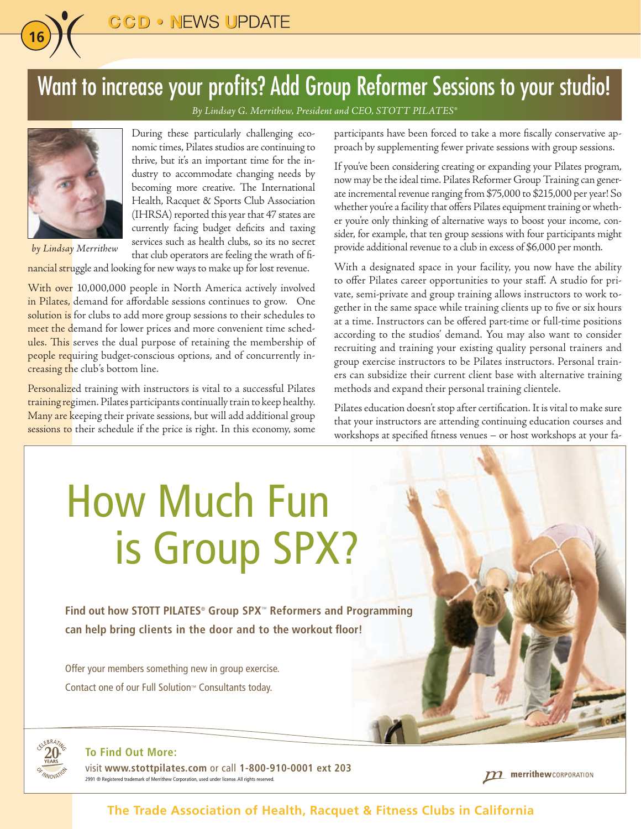### Want to increase your profits? Add Group Reformer Sessions to your studio!

*By Lindsay G. Merrithew, President and CEO, STOTT PILATES®*



**16**

*by Lindsay Merrithew*

During these particularly challenging economic times, Pilates studios are continuing to thrive, but it's an important time for the industry to accommodate changing needs by becoming more creative. The International Health, Racquet & Sports Club Association (IHRSA) reported this year that 47 states are currently facing budget deficits and taxing services such as health clubs, so its no secret that club operators are feeling the wrath of fi-

nancial struggle and looking for new ways to make up for lost revenue.

With over 10,000,000 people in North America actively involved in Pilates, demand for affordable sessions continues to grow. One solution is for clubs to add more group sessions to their schedules to meet the demand for lower prices and more convenient time schedules. This serves the dual purpose of retaining the membership of people requiring budget-conscious options, and of concurrently increasing the club's bottom line.

Personalized training with instructors is vital to a successful Pilates training regimen. Pilates participants continually train to keep healthy. Many are keeping their private sessions, but will add additional group sessions to their schedule if the price is right. In this economy, some participants have been forced to take a more fiscally conservative approach by supplementing fewer private sessions with group sessions.

If you've been considering creating or expanding your Pilates program, now may be the ideal time. Pilates Reformer Group Training can generate incremental revenue ranging from \$75,000 to \$215,000 per year! So whether you're a facility that offers Pilates equipment training or whether you're only thinking of alternative ways to boost your income, consider, for example, that ten group sessions with four participants might provide additional revenue to a club in excess of \$6,000 per month.

With a designated space in your facility, you now have the ability to offer Pilates career opportunities to your staff. A studio for private, semi-private and group training allows instructors to work together in the same space while training clients up to five or six hours at a time. Instructors can be offered part-time or full-time positions according to the studios' demand. You may also want to consider recruiting and training your existing quality personal trainers and group exercise instructors to be Pilates instructors. Personal trainers can subsidize their current client base with alternative training methods and expand their personal training clientele.

Pilates education doesn't stop after certification. It is vital to make sure that your instructors are attending continuing education courses and workshops at specified fitness venues – or host workshops at your fa-

## How Much Fun is Group SPX?

**Find out how STOTT PILATES**®  **Group SPX**™ **Reformers and Programming can help bring clients in the door and to the workout floor!**

Offer your members something new in group exercise. Contact one of our Full Solution™ Consultants today.



#### **To Find Out More:**

visit **www.stottpilates.com** or call **1-800-910-0001 ext 203** 2991 ® Registered trademark of Merrithew Corporation, used under license. All rights reserved.

merrithew CORPORATION

**The Trade Association of Health, Racquet & Fitness Clubs in California**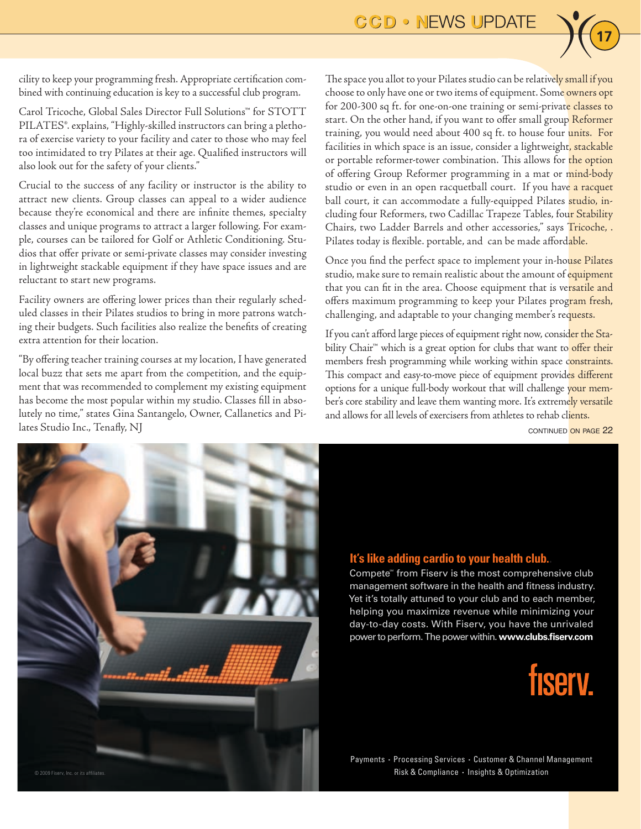

cility to keep your programming fresh. Appropriate certification combined with continuing education is key to a successful club program.

Carol Tricoche, Global Sales Director Full Solutions™ for STOTT PILATES®. explains, "Highly-skilled instructors can bring a plethora of exercise variety to your facility and cater to those who may feel too intimidated to try Pilates at their age. Qualified instructors will also look out for the safety of your clients."

Crucial to the success of any facility or instructor is the ability to attract new clients. Group classes can appeal to a wider audience because they're economical and there are infinite themes, specialty classes and unique programs to attract a larger following. For example, courses can be tailored for Golf or Athletic Conditioning. Studios that offer private or semi-private classes may consider investing in lightweight stackable equipment if they have space issues and are reluctant to start new programs.

Facility owners are offering lower prices than their regularly scheduled classes in their Pilates studios to bring in more patrons watching their budgets. Such facilities also realize the benefits of creating extra attention for their location.

"By offering teacher training courses at my location, I have generated local buzz that sets me apart from the competition, and the equipment that was recommended to complement my existing equipment has become the most popular within my studio. Classes fill in absolutely no time," states Gina Santangelo, Owner, Callanetics and Pilates Studio Inc., Tenafly, NJ

The space you allot to your Pilates studio can be relatively small if you choose to only have one or two items of equipment. Some owners opt for 200-300 sq ft. for one-on-one training or semi-private classes to start. On the other hand, if you want to offer small group Reformer training, you would need about 400 sq ft. to house four units. For facilities in which space is an issue, consider a lightweight, stackable or portable reformer-tower combination. This allows for the option of offering Group Reformer programming in a mat or mind-body studio or even in an open racquetball court. If you have a racquet ball court, it can accommodate a fully-equipped Pilates studio, including four Reformers, two Cadillac Trapeze Tables, four Stability Chairs, two Ladder Barrels and other accessories," says Tricoche, . Pilates today is flexible. portable, and can be made affordable.

Once you find the perfect space to implement your in-house Pilates studio, make sure to remain realistic about the amount of equipment that you can fit in the area. Choose equipment that is versatile and offers maximum programming to keep your Pilates program fresh, challenging, and adaptable to your changing member's requests.

If you can't afford large pieces of equipment right now, consider the Stability Chair<sup>™</sup> which is a great option for clubs that want to offer their members fresh programming while working within space constraints. This compact and easy-to-move piece of equipment provides different options for a unique full-body workout that will challenge your member's core stability and leave them wanting more. It's extremely versatile and allows for all levels of exercisers from athletes to rehab clients.

continued on page 22



#### **It's like adding cardio to your health club..**

Compete<sup>®</sup> from Fiserv is the most comprehensive club management software in the health and fitness industry. Yet it's totally attuned to your club and to each member, helping you maximize revenue while minimizing your day-to-day costs. With Fiserv, you have the unrivaled power to perform. The power within. www.clubs.fiserv.com



Payments • Processing Services • Customer & Channel Management Risk & Compliance · Insights & Optimization